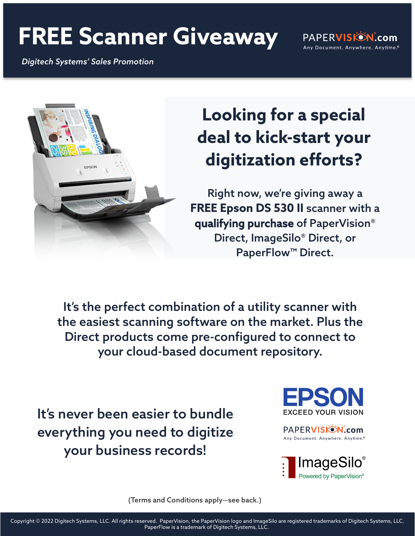## **FREE Scanner Giveaway**

*Digitech Systems' Sales Promotion*

PAPERVISKON.com Any Document. Anywhere. Anytime.®



## **Looking for a special deal to kick-start your digitization efforts?**

Right now, we're giving away a **FREE Epson DS 530 II** scanner with a qualifying purchase of PaperVision® Direct, ImageSilo® Direct, or PaperFlow™ Direct.

It's the perfect combination of a utility scanner with the easiest scanning software on the market. Plus the Direct products come pre-configured to connect to your cloud-based document repository.

It's never been easier to bundle everything you need to digitize your business records!



PAPERVISKON.com Any Document. Anywhere. Anytime.®



(Terms and Conditions apply—see back.)